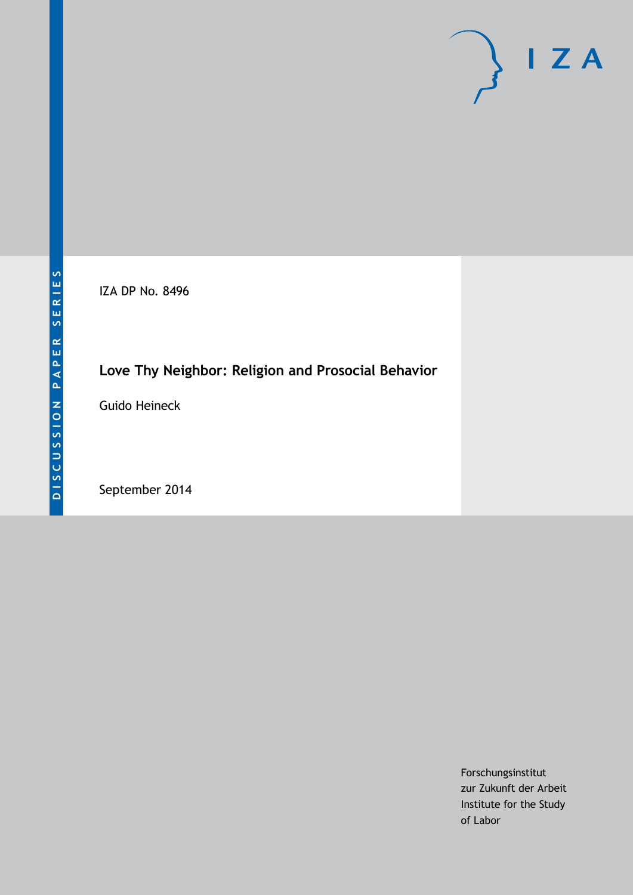IZA DP No. 8496

# **Love Thy Neighbor: Religion and Prosocial Behavior**

Guido Heineck

September 2014

Forschungsinstitut zur Zukunft der Arbeit Institute for the Study of Labor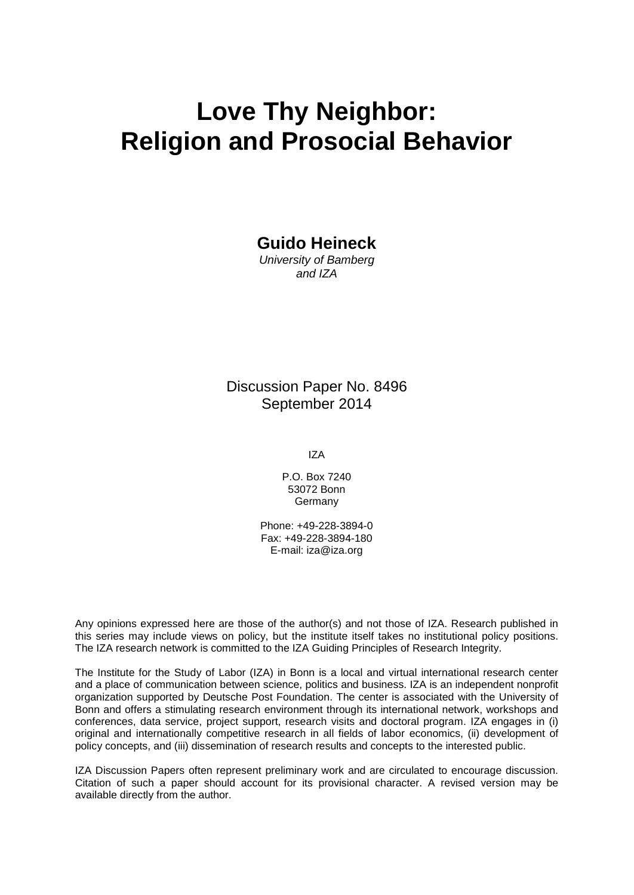# **Love Thy Neighbor: Religion and Prosocial Behavior**

**Guido Heineck**

*University of Bamberg and IZA*

Discussion Paper No. 8496 September 2014

IZA

P.O. Box 7240 53072 Bonn Germany

Phone: +49-228-3894-0 Fax: +49-228-3894-180 E-mail: [iza@iza.org](mailto:iza@iza.org)

Any opinions expressed here are those of the author(s) and not those of IZA. Research published in this series may include views on policy, but the institute itself takes no institutional policy positions. The IZA research network is committed to the IZA Guiding Principles of Research Integrity.

The Institute for the Study of Labor (IZA) in Bonn is a local and virtual international research center and a place of communication between science, politics and business. IZA is an independent nonprofit organization supported by Deutsche Post Foundation. The center is associated with the University of Bonn and offers a stimulating research environment through its international network, workshops and conferences, data service, project support, research visits and doctoral program. IZA engages in (i) original and internationally competitive research in all fields of labor economics, (ii) development of policy concepts, and (iii) dissemination of research results and concepts to the interested public.

<span id="page-1-0"></span>IZA Discussion Papers often represent preliminary work and are circulated to encourage discussion. Citation of such a paper should account for its provisional character. A revised version may be available directly from the author.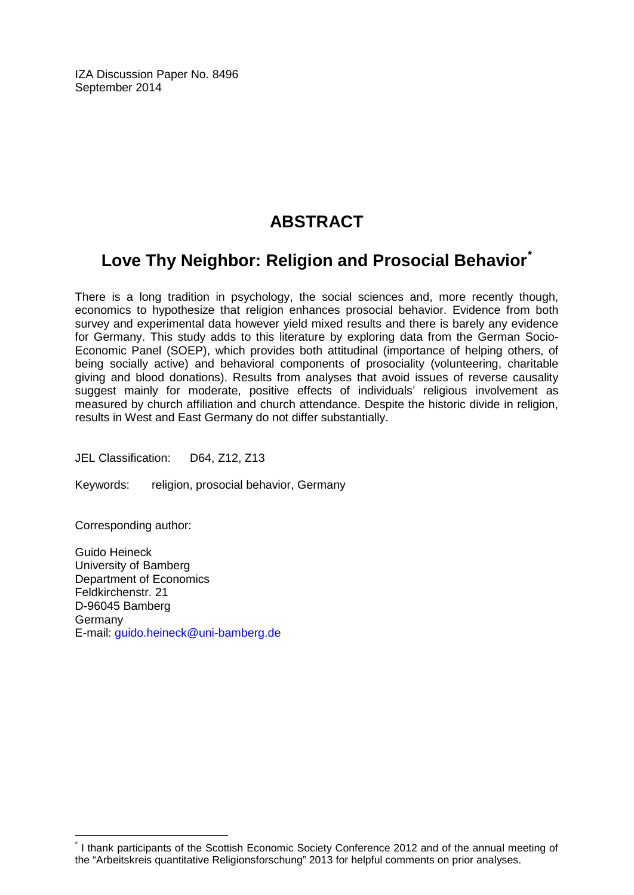IZA Discussion Paper No. 8496 September 2014

# **ABSTRACT**

# **Love Thy Neighbor: Religion and Prosocial Behavior[\\*](#page-1-0)**

There is a long tradition in psychology, the social sciences and, more recently though, economics to hypothesize that religion enhances prosocial behavior. Evidence from both survey and experimental data however yield mixed results and there is barely any evidence for Germany. This study adds to this literature by exploring data from the German Socio-Economic Panel (SOEP), which provides both attitudinal (importance of helping others, of being socially active) and behavioral components of prosociality (volunteering, charitable giving and blood donations). Results from analyses that avoid issues of reverse causality suggest mainly for moderate, positive effects of individuals' religious involvement as measured by church affiliation and church attendance. Despite the historic divide in religion, results in West and East Germany do not differ substantially.

JEL Classification: D64, Z12, Z13

Keywords: religion, prosocial behavior, Germany

Corresponding author:

Guido Heineck University of Bamberg Department of Economics Feldkirchenstr. 21 D-96045 Bamberg Germany E-mail: [guido.heineck@uni-bamberg.de](mailto:guido.heineck@uni-bamberg.de)

I thank participants of the Scottish Economic Society Conference 2012 and of the annual meeting of the "Arbeitskreis quantitative Religionsforschung" 2013 for helpful comments on prior analyses.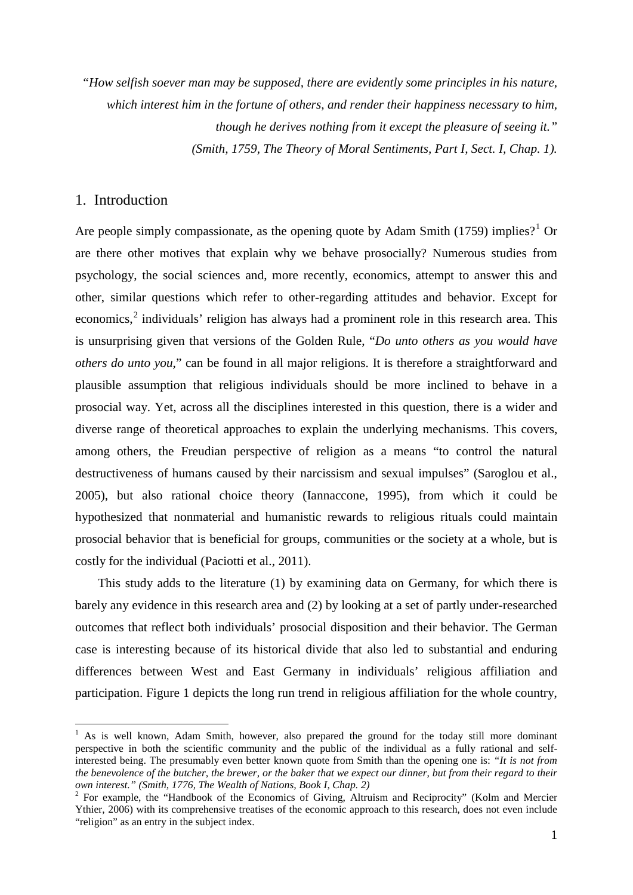*"How selfish soever man may be supposed, there are evidently some principles in his nature, which interest him in the fortune of others, and render their happiness necessary to him, though he derives nothing from it except the pleasure of seeing it." (Smith, 1759, The Theory of Moral Sentiments, Part I, Sect. I, Chap. 1).*

### 1. Introduction

Are people simply compassionate, as the opening quote by Adam Smith (1759) implies?<sup>1</sup> Or are there other motives that explain why we behave prosocially? Numerous studies from psychology, the social sciences and, more recently, economics, attempt to answer this and other, similar questions which refer to other-regarding attitudes and behavior. Except for economics.<sup>[2](#page-3-0)</sup> individuals' religion has always had a prominent role in this research area. This is unsurprising given that versions of the Golden Rule, "*Do unto others as you would have others do unto you*," can be found in all major religions. It is therefore a straightforward and plausible assumption that religious individuals should be more inclined to behave in a prosocial way. Yet, across all the disciplines interested in this question, there is a wider and diverse range of theoretical approaches to explain the underlying mechanisms. This covers, among others, the Freudian perspective of religion as a means "to control the natural destructiveness of humans caused by their narcissism and sexual impulses" (Saroglou et al., 2005), but also rational choice theory (Iannaccone, 1995), from which it could be hypothesized that nonmaterial and humanistic rewards to religious rituals could maintain prosocial behavior that is beneficial for groups, communities or the society at a whole, but is costly for the individual (Paciotti et al., 2011).

This study adds to the literature (1) by examining data on Germany, for which there is barely any evidence in this research area and (2) by looking at a set of partly under-researched outcomes that reflect both individuals' prosocial disposition and their behavior. The German case is interesting because of its historical divide that also led to substantial and enduring differences between West and East Germany in individuals' religious affiliation and participation. Figure 1 depicts the long run trend in religious affiliation for the whole country,

<sup>&</sup>lt;sup>1</sup> As is well known, Adam Smith, however, also prepared the ground for the today still more dominant perspective in both the scientific community and the public of the individual as a fully rational and selfinterested being. The presumably even better known quote from Smith than the opening one is: *"It is not from the benevolence of the butcher, the brewer, or the baker that we expect our dinner, but from their regard to their own interest." (Smith, 1776, The Wealth of Nations, Book I, Chap. 2)* 

<span id="page-3-0"></span><sup>&</sup>lt;sup>2</sup> For example, the "Handbook of the Economics of Giving, Altruism and Reciprocity" (Kolm and Mercier Ythier, 2006) with its comprehensive treatises of the economic approach to this research, does not even include "religion" as an entry in the subject index.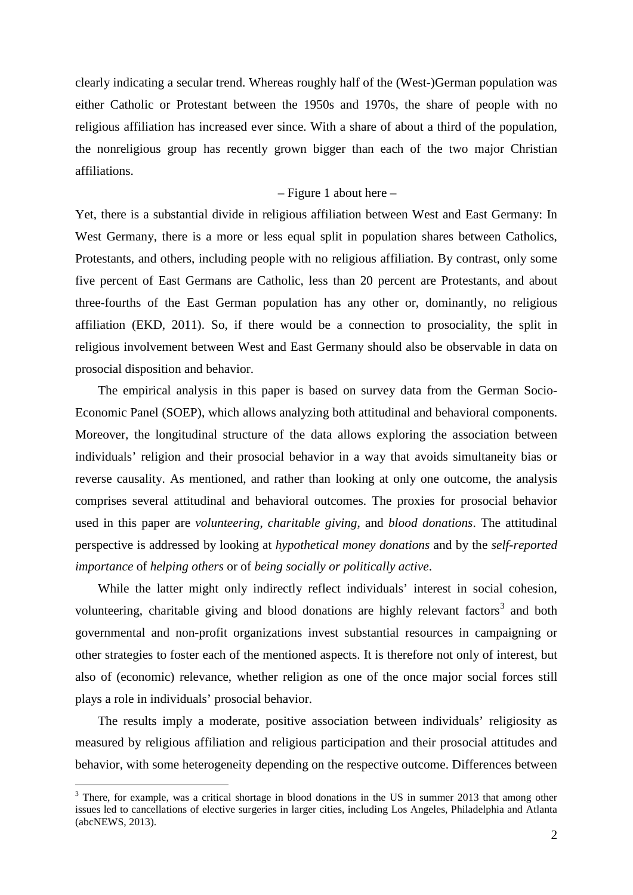clearly indicating a secular trend. Whereas roughly half of the (West-)German population was either Catholic or Protestant between the 1950s and 1970s, the share of people with no religious affiliation has increased ever since. With a share of about a third of the population, the nonreligious group has recently grown bigger than each of the two major Christian affiliations.

#### – Figure 1 about here –

Yet, there is a substantial divide in religious affiliation between West and East Germany: In West Germany, there is a more or less equal split in population shares between Catholics, Protestants, and others, including people with no religious affiliation. By contrast, only some five percent of East Germans are Catholic, less than 20 percent are Protestants, and about three-fourths of the East German population has any other or, dominantly, no religious affiliation (EKD, 2011). So, if there would be a connection to prosociality, the split in religious involvement between West and East Germany should also be observable in data on prosocial disposition and behavior.

The empirical analysis in this paper is based on survey data from the German Socio-Economic Panel (SOEP), which allows analyzing both attitudinal and behavioral components. Moreover, the longitudinal structure of the data allows exploring the association between individuals' religion and their prosocial behavior in a way that avoids simultaneity bias or reverse causality. As mentioned, and rather than looking at only one outcome, the analysis comprises several attitudinal and behavioral outcomes. The proxies for prosocial behavior used in this paper are *volunteering*, *charitable giving*, and *blood donations*. The attitudinal perspective is addressed by looking at *hypothetical money donations* and by the *self-reported importance* of *helping others* or of *being socially or politically active*.

While the latter might only indirectly reflect individuals' interest in social cohesion, volunteering, charitable giving and blood donations are highly relevant factors<sup>[3](#page-3-0)</sup> and both governmental and non-profit organizations invest substantial resources in campaigning or other strategies to foster each of the mentioned aspects. It is therefore not only of interest, but also of (economic) relevance, whether religion as one of the once major social forces still plays a role in individuals' prosocial behavior.

The results imply a moderate, positive association between individuals' religiosity as measured by religious affiliation and religious participation and their prosocial attitudes and behavior, with some heterogeneity depending on the respective outcome. Differences between

<span id="page-4-0"></span> $3$  There, for example, was a critical shortage in blood donations in the US in summer 2013 that among other issues led to cancellations of elective surgeries in larger cities, including Los Angeles, Philadelphia and Atlanta (abcNEWS, 2013).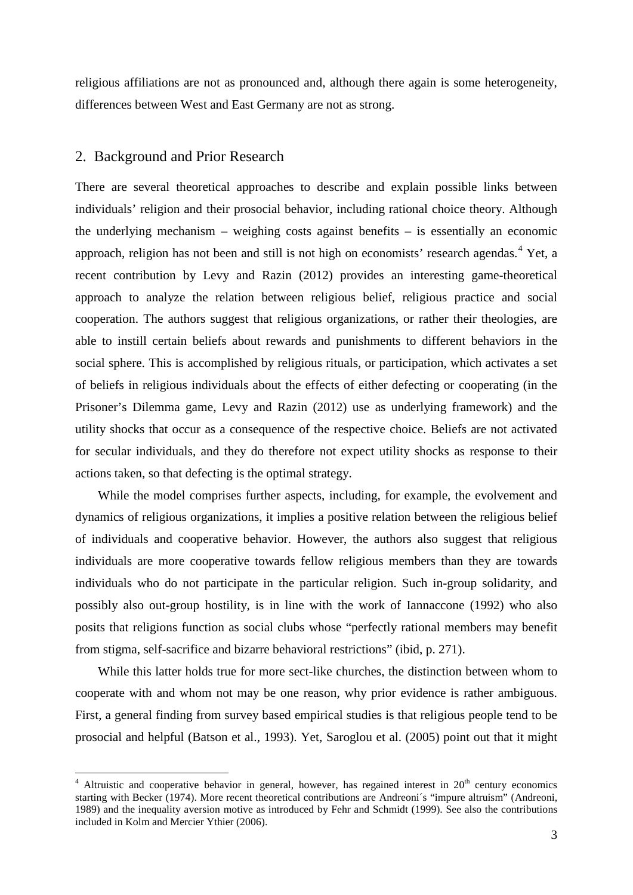religious affiliations are not as pronounced and, although there again is some heterogeneity, differences between West and East Germany are not as strong.

#### 2. Background and Prior Research

There are several theoretical approaches to describe and explain possible links between individuals' religion and their prosocial behavior, including rational choice theory. Although the underlying mechanism – weighing costs against benefits – is essentially an economic approach, religion has not been and still is not high on economists' research agendas.<sup>[4](#page-4-0)</sup> Yet, a recent contribution by Levy and Razin (2012) provides an interesting game-theoretical approach to analyze the relation between religious belief, religious practice and social cooperation. The authors suggest that religious organizations, or rather their theologies, are able to instill certain beliefs about rewards and punishments to different behaviors in the social sphere. This is accomplished by religious rituals, or participation, which activates a set of beliefs in religious individuals about the effects of either defecting or cooperating (in the Prisoner's Dilemma game, Levy and Razin (2012) use as underlying framework) and the utility shocks that occur as a consequence of the respective choice. Beliefs are not activated for secular individuals, and they do therefore not expect utility shocks as response to their actions taken, so that defecting is the optimal strategy.

While the model comprises further aspects, including, for example, the evolvement and dynamics of religious organizations, it implies a positive relation between the religious belief of individuals and cooperative behavior. However, the authors also suggest that religious individuals are more cooperative towards fellow religious members than they are towards individuals who do not participate in the particular religion. Such in-group solidarity, and possibly also out-group hostility, is in line with the work of Iannaccone (1992) who also posits that religions function as social clubs whose "perfectly rational members may benefit from stigma, self-sacrifice and bizarre behavioral restrictions" (ibid, p. 271).

<span id="page-5-0"></span>While this latter holds true for more sect-like churches, the distinction between whom to cooperate with and whom not may be one reason, why prior evidence is rather ambiguous. First, a general finding from survey based empirical studies is that religious people tend to be prosocial and helpful (Batson et al., 1993). Yet, Saroglou et al. (2005) point out that it might

 $4$  Altruistic and cooperative behavior in general, however, has regained interest in  $20<sup>th</sup>$  century economics starting with Becker (1974). More recent theoretical contributions are Andreoni´s "impure altruism" (Andreoni, 1989) and the inequality aversion motive as introduced by Fehr and Schmidt (1999). See also the contributions included in Kolm and Mercier Ythier (2006).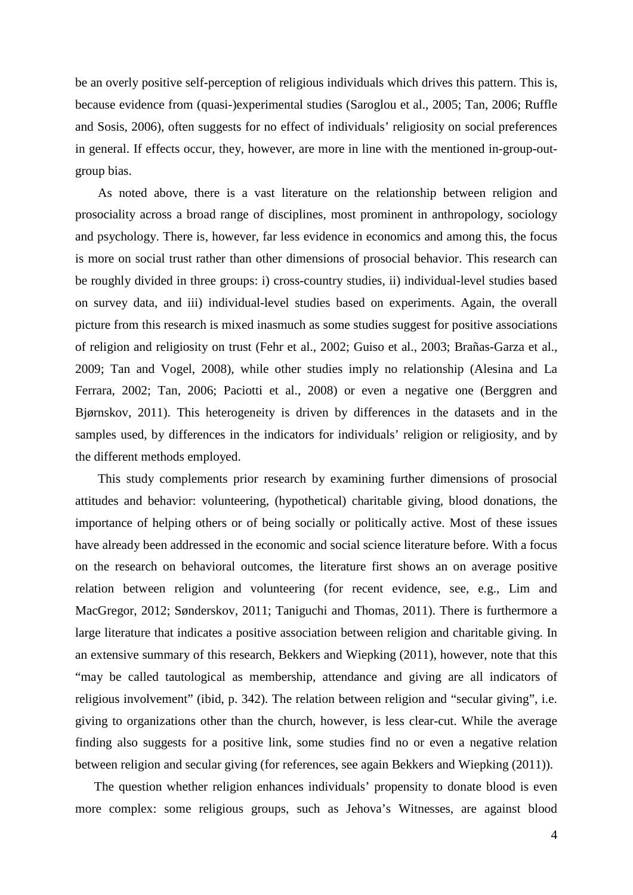be an overly positive self-perception of religious individuals which drives this pattern. This is, because evidence from (quasi-)experimental studies (Saroglou et al., 2005; Tan, 2006; Ruffle and Sosis, 2006), often suggests for no effect of individuals' religiosity on social preferences in general. If effects occur, they, however, are more in line with the mentioned in-group-outgroup bias.

As noted above, there is a vast literature on the relationship between religion and prosociality across a broad range of disciplines, most prominent in anthropology, sociology and psychology. There is, however, far less evidence in economics and among this, the focus is more on social trust rather than other dimensions of prosocial behavior. This research can be roughly divided in three groups: i) cross-country studies, ii) individual-level studies based on survey data, and iii) individual-level studies based on experiments. Again, the overall picture from this research is mixed inasmuch as some studies suggest for positive associations of religion and religiosity on trust (Fehr et al., 2002; Guiso et al., 2003; Brañas-Garza et al., 2009; Tan and Vogel, 2008), while other studies imply no relationship (Alesina and La Ferrara, 2002; Tan, 2006; Paciotti et al., 2008) or even a negative one (Berggren and Bjørnskov, 2011). This heterogeneity is driven by differences in the datasets and in the samples used, by differences in the indicators for individuals' religion or religiosity, and by the different methods employed.

This study complements prior research by examining further dimensions of prosocial attitudes and behavior: volunteering, (hypothetical) charitable giving, blood donations, the importance of helping others or of being socially or politically active. Most of these issues have already been addressed in the economic and social science literature before. With a focus on the research on behavioral outcomes, the literature first shows an on average positive relation between religion and volunteering (for recent evidence, see, e.g., Lim and MacGregor, 2012; Sønderskov, 2011; Taniguchi and Thomas, 2011). There is furthermore a large literature that indicates a positive association between religion and charitable giving. In an extensive summary of this research, Bekkers and Wiepking (2011), however, note that this "may be called tautological as membership, attendance and giving are all indicators of religious involvement" (ibid, p. 342). The relation between religion and "secular giving", i.e. giving to organizations other than the church, however, is less clear-cut. While the average finding also suggests for a positive link, some studies find no or even a negative relation between religion and secular giving (for references, see again Bekkers and Wiepking (2011)).

The question whether religion enhances individuals' propensity to donate blood is even more complex: some religious groups, such as Jehova's Witnesses, are against blood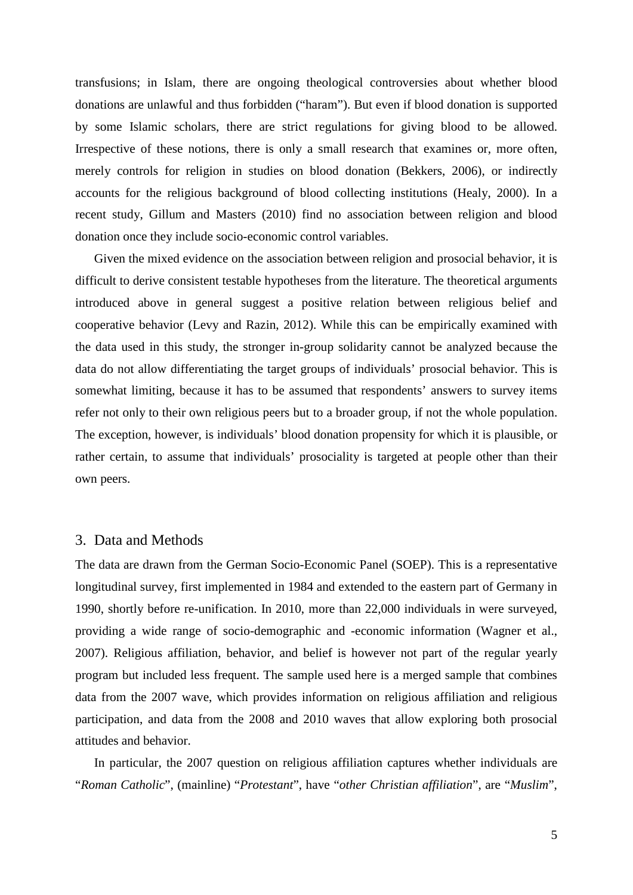transfusions; in Islam, there are ongoing theological controversies about whether blood donations are unlawful and thus forbidden ("haram"). But even if blood donation is supported by some Islamic scholars, there are strict regulations for giving blood to be allowed. Irrespective of these notions, there is only a small research that examines or, more often, merely controls for religion in studies on blood donation (Bekkers, 2006), or indirectly accounts for the religious background of blood collecting institutions (Healy, 2000). In a recent study, Gillum and Masters (2010) find no association between religion and blood donation once they include socio-economic control variables.

Given the mixed evidence on the association between religion and prosocial behavior, it is difficult to derive consistent testable hypotheses from the literature. The theoretical arguments introduced above in general suggest a positive relation between religious belief and cooperative behavior (Levy and Razin, 2012). While this can be empirically examined with the data used in this study, the stronger in-group solidarity cannot be analyzed because the data do not allow differentiating the target groups of individuals' prosocial behavior. This is somewhat limiting, because it has to be assumed that respondents' answers to survey items refer not only to their own religious peers but to a broader group, if not the whole population. The exception, however, is individuals' blood donation propensity for which it is plausible, or rather certain, to assume that individuals' prosociality is targeted at people other than their own peers.

## 3. Data and Methods

The data are drawn from the German Socio-Economic Panel (SOEP). This is a representative longitudinal survey, first implemented in 1984 and extended to the eastern part of Germany in 1990, shortly before re-unification. In 2010, more than 22,000 individuals in were surveyed, providing a wide range of socio-demographic and -economic information (Wagner et al., 2007). Religious affiliation, behavior, and belief is however not part of the regular yearly program but included less frequent. The sample used here is a merged sample that combines data from the 2007 wave, which provides information on religious affiliation and religious participation, and data from the 2008 and 2010 waves that allow exploring both prosocial attitudes and behavior.

In particular, the 2007 question on religious affiliation captures whether individuals are "*Roman Catholic*", (mainline) "*Protestant*", have "*other Christian affiliation*", are "*Muslim*",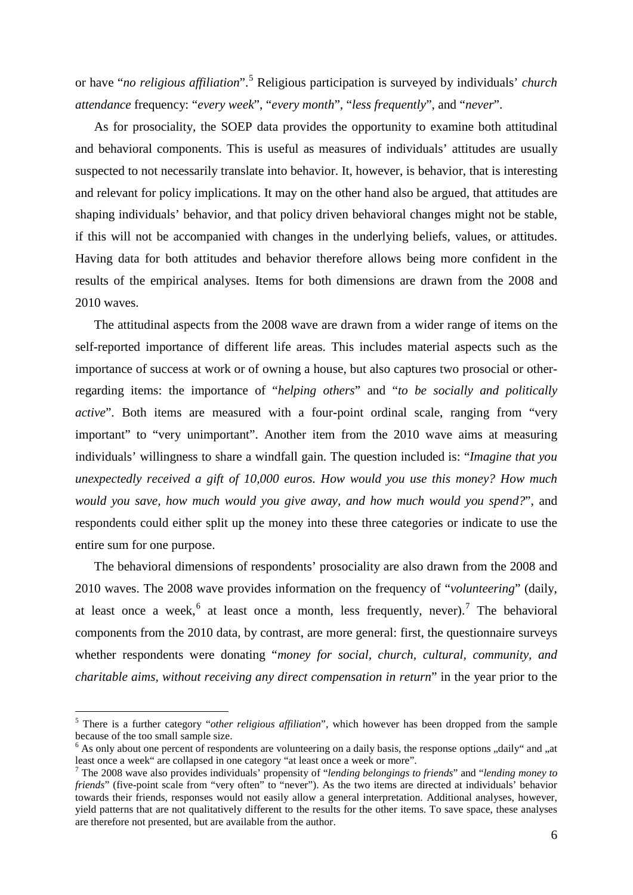or have "*no religious affiliation*".[5](#page-5-0) Religious participation is surveyed by individuals' *church attendance* frequency: "*every week*", "*every month*", "*less frequently*", and "*never*".

As for prosociality, the SOEP data provides the opportunity to examine both attitudinal and behavioral components. This is useful as measures of individuals' attitudes are usually suspected to not necessarily translate into behavior. It, however, is behavior, that is interesting and relevant for policy implications. It may on the other hand also be argued, that attitudes are shaping individuals' behavior, and that policy driven behavioral changes might not be stable, if this will not be accompanied with changes in the underlying beliefs, values, or attitudes. Having data for both attitudes and behavior therefore allows being more confident in the results of the empirical analyses. Items for both dimensions are drawn from the 2008 and 2010 waves.

The attitudinal aspects from the 2008 wave are drawn from a wider range of items on the self-reported importance of different life areas. This includes material aspects such as the importance of success at work or of owning a house, but also captures two prosocial or otherregarding items: the importance of "*helping others*" and "*to be socially and politically active*". Both items are measured with a four-point ordinal scale, ranging from "very important" to "very unimportant". Another item from the 2010 wave aims at measuring individuals' willingness to share a windfall gain. The question included is: "*Imagine that you unexpectedly received a gift of 10,000 euros. How would you use this money? How much would you save, how much would you give away, and how much would you spend?*", and respondents could either split up the money into these three categories or indicate to use the entire sum for one purpose.

The behavioral dimensions of respondents' prosociality are also drawn from the 2008 and 2010 waves. The 2008 wave provides information on the frequency of "*volunteering*" (daily, at least once a week,<sup>[6](#page-8-0)</sup> at least once a month, less frequently, never).<sup>[7](#page-8-1)</sup> The behavioral components from the 2010 data, by contrast, are more general: first, the questionnaire surveys whether respondents were donating "*money for social, church, cultural, community, and charitable aims, without receiving any direct compensation in return*" in the year prior to the

 <sup>5</sup> There is a further category "*other religious affiliation*", which however has been dropped from the sample because of the too small sample size.

<span id="page-8-0"></span> $6$  As only about one percent of respondents are volunteering on a daily basis, the response options "daily" and "at least once a week" are collapsed in one category "at least once a week or more".

<span id="page-8-2"></span><span id="page-8-1"></span><sup>&</sup>lt;sup>7</sup> The 2008 wave also provides individuals' propensity of "*lending belongings to friends*" and "*lending money to friends*" (five-point scale from "very often" to "never"). As the two items are directed at individuals' behavior towards their friends, responses would not easily allow a general interpretation. Additional analyses, however, yield patterns that are not qualitatively different to the results for the other items. To save space, these analyses are therefore not presented, but are available from the author.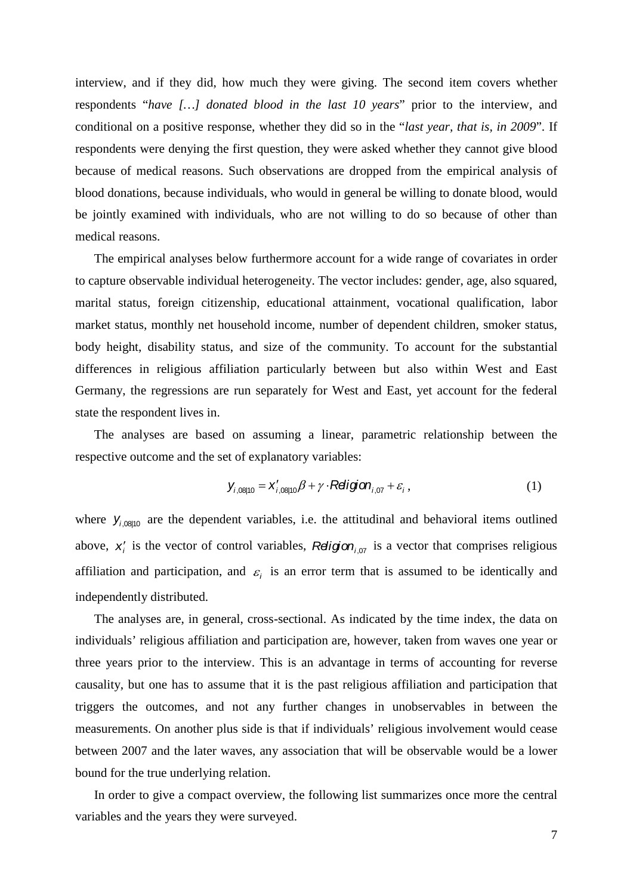interview, and if they did, how much they were giving. The second item covers whether respondents "*have […] donated blood in the last 10 years*" prior to the interview, and conditional on a positive response, whether they did so in the "*last year, that is, in 2009*". If respondents were denying the first question, they were asked whether they cannot give blood because of medical reasons. Such observations are dropped from the empirical analysis of blood donations, because individuals, who would in general be willing to donate blood, would be jointly examined with individuals, who are not willing to do so because of other than medical reasons.

The empirical analyses below furthermore account for a wide range of covariates in order to capture observable individual heterogeneity. The vector includes: gender, age, also squared, marital status, foreign citizenship, educational attainment, vocational qualification, labor market status, monthly net household income, number of dependent children, smoker status, body height, disability status, and size of the community. To account for the substantial differences in religious affiliation particularly between but also within West and East Germany, the regressions are run separately for West and East, yet account for the federal state the respondent lives in.

The analyses are based on assuming a linear, parametric relationship between the respective outcome and the set of explanatory variables:

$$
\mathbf{y}_{i,08|10} = \mathbf{x}_{i,08|10}'\boldsymbol{\beta} + \gamma \cdot \mathbf{R} \text{dijon}_{i,07} + \varepsilon_i, \qquad (1)
$$

where  $y_{i,08|10}$  are the dependent variables, i.e. the attitudinal and behavioral items outlined above,  $x_i'$  is the vector of control variables, *Religion*<sub>*i,or*</sub> is a vector that comprises religious affiliation and participation, and  $\varepsilon_i$  is an error term that is assumed to be identically and independently distributed.

The analyses are, in general, cross-sectional. As indicated by the time index, the data on individuals' religious affiliation and participation are, however, taken from waves one year or three years prior to the interview. This is an advantage in terms of accounting for reverse causality, but one has to assume that it is the past religious affiliation and participation that triggers the outcomes, and not any further changes in unobservables in between the measurements. On another plus side is that if individuals' religious involvement would cease between 2007 and the later waves, any association that will be observable would be a lower bound for the true underlying relation.

In order to give a compact overview, the following list summarizes once more the central variables and the years they were surveyed.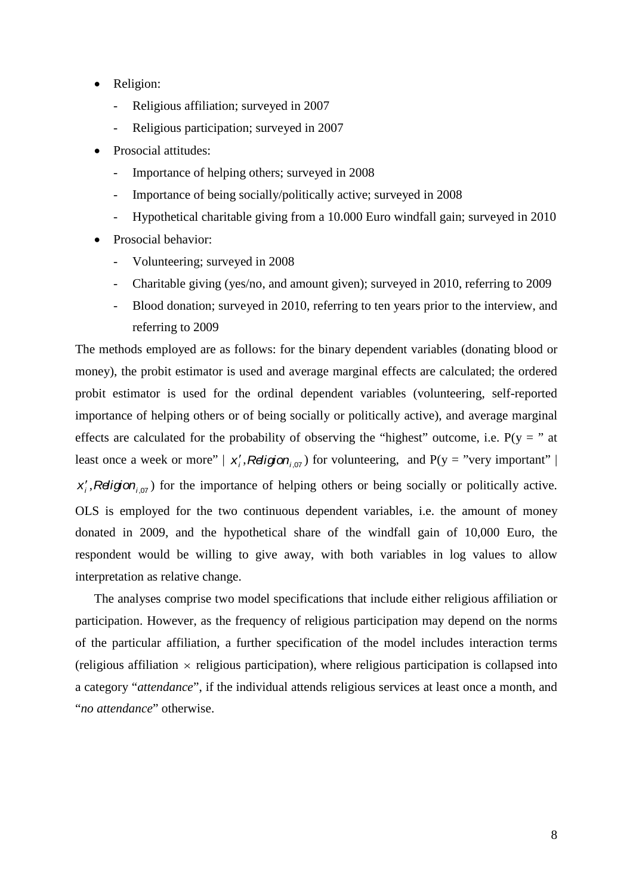- Religion:
	- Religious affiliation; surveyed in 2007
	- Religious participation; surveyed in 2007
- Prosocial attitudes:
	- Importance of helping others; surveyed in 2008
	- Importance of being socially/politically active; surveyed in 2008
	- Hypothetical charitable giving from a 10.000 Euro windfall gain; surveyed in 2010
- Prosocial behavior:
	- Volunteering; surveyed in 2008
	- Charitable giving (yes/no, and amount given); surveyed in 2010, referring to 2009
	- Blood donation; surveyed in 2010, referring to ten years prior to the interview, and referring to 2009

The methods employed are as follows: for the binary dependent variables (donating blood or money), the probit estimator is used and average marginal effects are calculated; the ordered probit estimator is used for the ordinal dependent variables (volunteering, self-reported importance of helping others or of being socially or politically active), and average marginal effects are calculated for the probability of observing the "highest" outcome, i.e.  $P(y = "$  at least once a week or more"  $| \mathbf{x}'_i$ , **Religion**<sub>i, or</sub> for volunteering, and P(y = "very important" |  $x'_{i}$ , *Religion*<sub>*i*,07</sub>) for the importance of helping others or being socially or politically active. OLS is employed for the two continuous dependent variables, i.e. the amount of money donated in 2009, and the hypothetical share of the windfall gain of 10,000 Euro, the respondent would be willing to give away, with both variables in log values to allow interpretation as relative change.

The analyses comprise two model specifications that include either religious affiliation or participation. However, as the frequency of religious participation may depend on the norms of the particular affiliation, a further specification of the model includes interaction terms (religious affiliation  $\times$  religious participation), where religious participation is collapsed into a category "*attendance*", if the individual attends religious services at least once a month, and "*no attendance*" otherwise.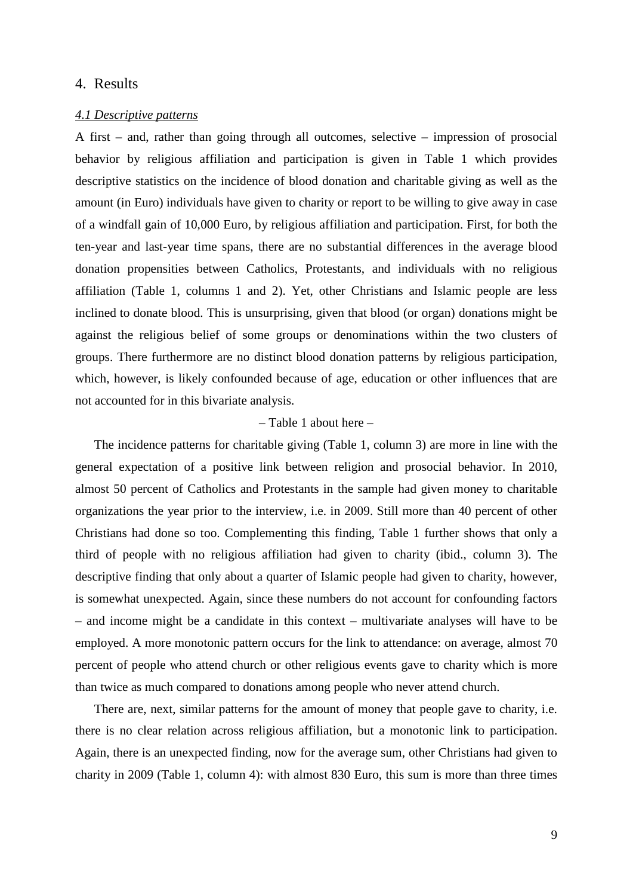### 4. Results

#### *4.1 Descriptive patterns*

A first – and, rather than going through all outcomes, selective – impression of prosocial behavior by religious affiliation and participation is given in Table 1 which provides descriptive statistics on the incidence of blood donation and charitable giving as well as the amount (in Euro) individuals have given to charity or report to be willing to give away in case of a windfall gain of 10,000 Euro, by religious affiliation and participation. First, for both the ten-year and last-year time spans, there are no substantial differences in the average blood donation propensities between Catholics, Protestants, and individuals with no religious affiliation (Table 1, columns 1 and 2). Yet, other Christians and Islamic people are less inclined to donate blood. This is unsurprising, given that blood (or organ) donations might be against the religious belief of some groups or denominations within the two clusters of groups. There furthermore are no distinct blood donation patterns by religious participation, which, however, is likely confounded because of age, education or other influences that are not accounted for in this bivariate analysis.

#### – Table 1 about here –

The incidence patterns for charitable giving (Table 1, column 3) are more in line with the general expectation of a positive link between religion and prosocial behavior. In 2010, almost 50 percent of Catholics and Protestants in the sample had given money to charitable organizations the year prior to the interview, i.e. in 2009. Still more than 40 percent of other Christians had done so too. Complementing this finding, Table 1 further shows that only a third of people with no religious affiliation had given to charity (ibid., column 3). The descriptive finding that only about a quarter of Islamic people had given to charity, however, is somewhat unexpected. Again, since these numbers do not account for confounding factors – and income might be a candidate in this context – multivariate analyses will have to be employed. A more monotonic pattern occurs for the link to attendance: on average, almost 70 percent of people who attend church or other religious events gave to charity which is more than twice as much compared to donations among people who never attend church.

There are, next, similar patterns for the amount of money that people gave to charity, i.e. there is no clear relation across religious affiliation, but a monotonic link to participation. Again, there is an unexpected finding, now for the average sum, other Christians had given to charity in 2009 (Table 1, column 4): with almost 830 Euro, this sum is more than three times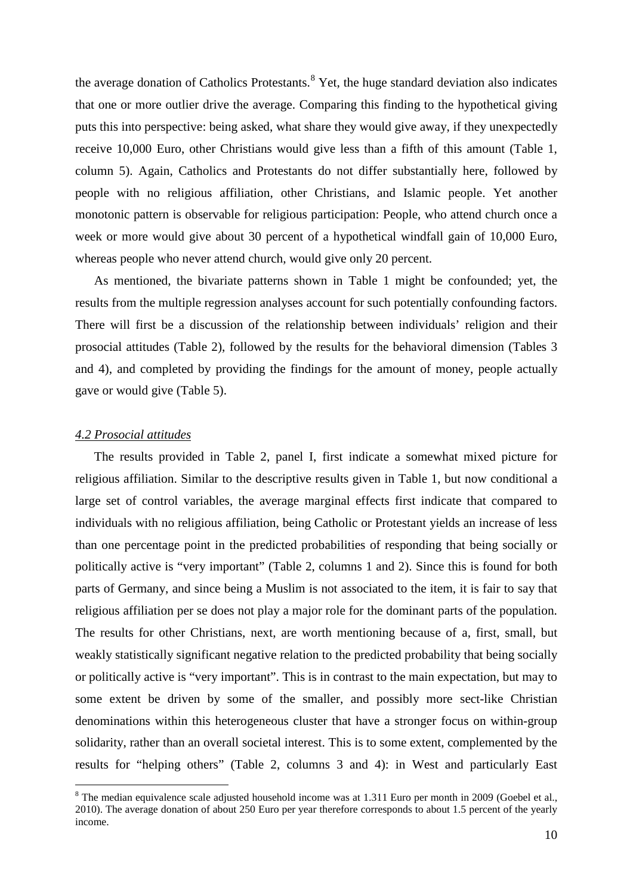the average donation of Catholics Protestants.<sup>[8](#page-8-2)</sup> Yet, the huge standard deviation also indicates that one or more outlier drive the average. Comparing this finding to the hypothetical giving puts this into perspective: being asked, what share they would give away, if they unexpectedly receive 10,000 Euro, other Christians would give less than a fifth of this amount (Table 1, column 5). Again, Catholics and Protestants do not differ substantially here, followed by people with no religious affiliation, other Christians, and Islamic people. Yet another monotonic pattern is observable for religious participation: People, who attend church once a week or more would give about 30 percent of a hypothetical windfall gain of 10,000 Euro, whereas people who never attend church, would give only 20 percent.

As mentioned, the bivariate patterns shown in Table 1 might be confounded; yet, the results from the multiple regression analyses account for such potentially confounding factors. There will first be a discussion of the relationship between individuals' religion and their prosocial attitudes (Table 2), followed by the results for the behavioral dimension (Tables 3 and 4), and completed by providing the findings for the amount of money, people actually gave or would give (Table 5).

#### *4.2 Prosocial attitudes*

The results provided in Table 2, panel I, first indicate a somewhat mixed picture for religious affiliation. Similar to the descriptive results given in Table 1, but now conditional a large set of control variables, the average marginal effects first indicate that compared to individuals with no religious affiliation, being Catholic or Protestant yields an increase of less than one percentage point in the predicted probabilities of responding that being socially or politically active is "very important" (Table 2, columns 1 and 2). Since this is found for both parts of Germany, and since being a Muslim is not associated to the item, it is fair to say that religious affiliation per se does not play a major role for the dominant parts of the population. The results for other Christians, next, are worth mentioning because of a, first, small, but weakly statistically significant negative relation to the predicted probability that being socially or politically active is "very important". This is in contrast to the main expectation, but may to some extent be driven by some of the smaller, and possibly more sect-like Christian denominations within this heterogeneous cluster that have a stronger focus on within-group solidarity, rather than an overall societal interest. This is to some extent, complemented by the results for "helping others" (Table 2, columns 3 and 4): in West and particularly East

<span id="page-12-0"></span><sup>&</sup>lt;sup>8</sup> The median equivalence scale adjusted household income was at 1.311 Euro per month in 2009 (Goebel et al., 2010). The average donation of about 250 Euro per year therefore corresponds to about 1.5 percent of the yearly income.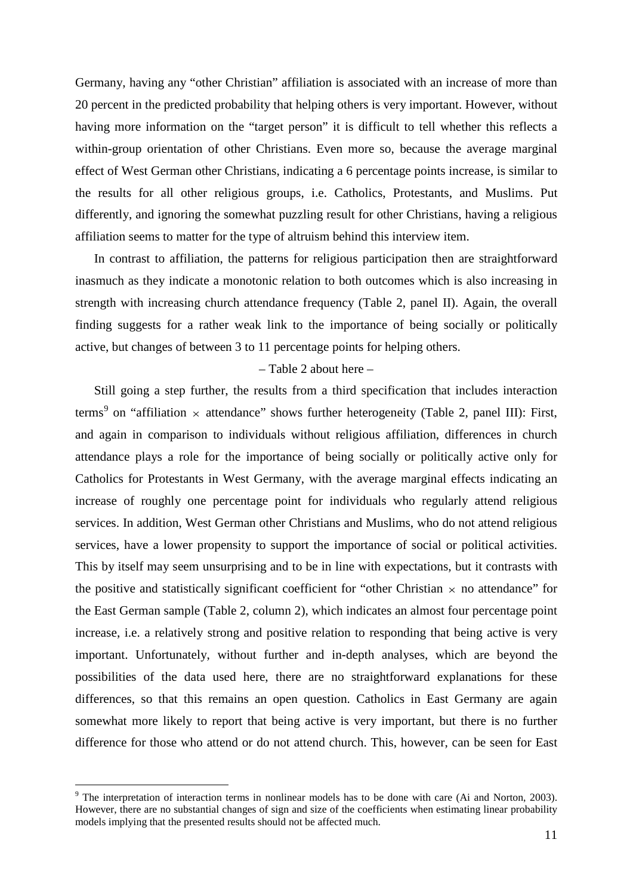Germany, having any "other Christian" affiliation is associated with an increase of more than 20 percent in the predicted probability that helping others is very important. However, without having more information on the "target person" it is difficult to tell whether this reflects a within-group orientation of other Christians. Even more so, because the average marginal effect of West German other Christians, indicating a 6 percentage points increase, is similar to the results for all other religious groups, i.e. Catholics, Protestants, and Muslims. Put differently, and ignoring the somewhat puzzling result for other Christians, having a religious affiliation seems to matter for the type of altruism behind this interview item.

In contrast to affiliation, the patterns for religious participation then are straightforward inasmuch as they indicate a monotonic relation to both outcomes which is also increasing in strength with increasing church attendance frequency (Table 2, panel II). Again, the overall finding suggests for a rather weak link to the importance of being socially or politically active, but changes of between 3 to 11 percentage points for helping others.

#### – Table 2 about here –

Still going a step further, the results from a third specification that includes interaction terms<sup>[9](#page-12-0)</sup> on "affiliation  $\times$  attendance" shows further heterogeneity (Table 2, panel III): First, and again in comparison to individuals without religious affiliation, differences in church attendance plays a role for the importance of being socially or politically active only for Catholics for Protestants in West Germany, with the average marginal effects indicating an increase of roughly one percentage point for individuals who regularly attend religious services. In addition, West German other Christians and Muslims, who do not attend religious services, have a lower propensity to support the importance of social or political activities. This by itself may seem unsurprising and to be in line with expectations, but it contrasts with the positive and statistically significant coefficient for "other Christian  $\times$  no attendance" for the East German sample (Table 2, column 2), which indicates an almost four percentage point increase, i.e. a relatively strong and positive relation to responding that being active is very important. Unfortunately, without further and in-depth analyses, which are beyond the possibilities of the data used here, there are no straightforward explanations for these differences, so that this remains an open question. Catholics in East Germany are again somewhat more likely to report that being active is very important, but there is no further difference for those who attend or do not attend church. This, however, can be seen for East

<span id="page-13-0"></span> <sup>9</sup> The interpretation of interaction terms in nonlinear models has to be done with care (Ai and Norton, 2003). However, there are no substantial changes of sign and size of the coefficients when estimating linear probability models implying that the presented results should not be affected much.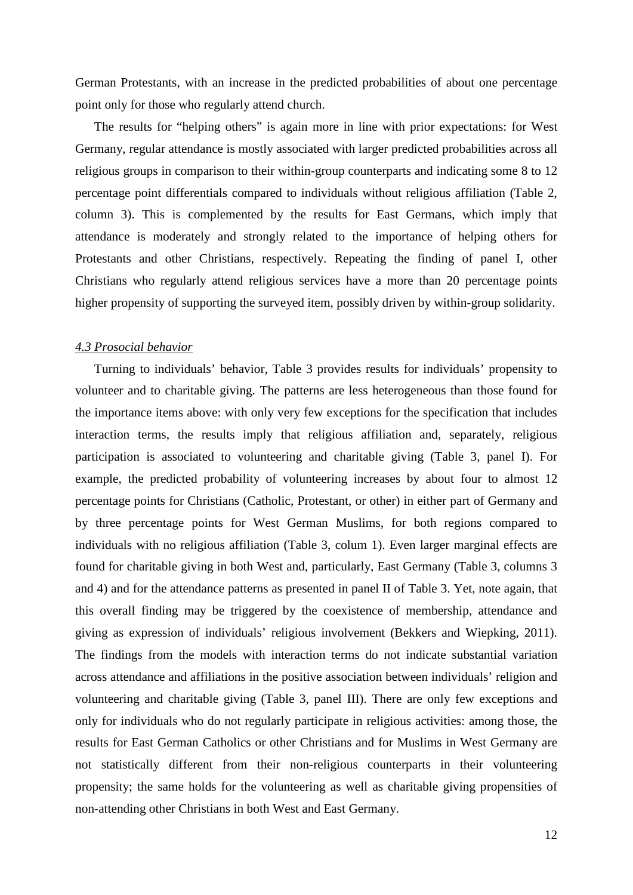German Protestants, with an increase in the predicted probabilities of about one percentage point only for those who regularly attend church.

The results for "helping others" is again more in line with prior expectations: for West Germany, regular attendance is mostly associated with larger predicted probabilities across all religious groups in comparison to their within-group counterparts and indicating some 8 to 12 percentage point differentials compared to individuals without religious affiliation (Table 2, column 3). This is complemented by the results for East Germans, which imply that attendance is moderately and strongly related to the importance of helping others for Protestants and other Christians, respectively. Repeating the finding of panel I, other Christians who regularly attend religious services have a more than 20 percentage points higher propensity of supporting the surveyed item, possibly driven by within-group solidarity.

#### *4.3 Prosocial behavior*

Turning to individuals' behavior, Table 3 provides results for individuals' propensity to volunteer and to charitable giving. The patterns are less heterogeneous than those found for the importance items above: with only very few exceptions for the specification that includes interaction terms, the results imply that religious affiliation and, separately, religious participation is associated to volunteering and charitable giving (Table 3, panel I). For example, the predicted probability of volunteering increases by about four to almost 12 percentage points for Christians (Catholic, Protestant, or other) in either part of Germany and by three percentage points for West German Muslims, for both regions compared to individuals with no religious affiliation (Table 3, colum 1). Even larger marginal effects are found for charitable giving in both West and, particularly, East Germany (Table 3, columns 3 and 4) and for the attendance patterns as presented in panel II of Table 3. Yet, note again, that this overall finding may be triggered by the coexistence of membership, attendance and giving as expression of individuals' religious involvement (Bekkers and Wiepking, 2011). The findings from the models with interaction terms do not indicate substantial variation across attendance and affiliations in the positive association between individuals' religion and volunteering and charitable giving (Table 3, panel III). There are only few exceptions and only for individuals who do not regularly participate in religious activities: among those, the results for East German Catholics or other Christians and for Muslims in West Germany are not statistically different from their non-religious counterparts in their volunteering propensity; the same holds for the volunteering as well as charitable giving propensities of non-attending other Christians in both West and East Germany.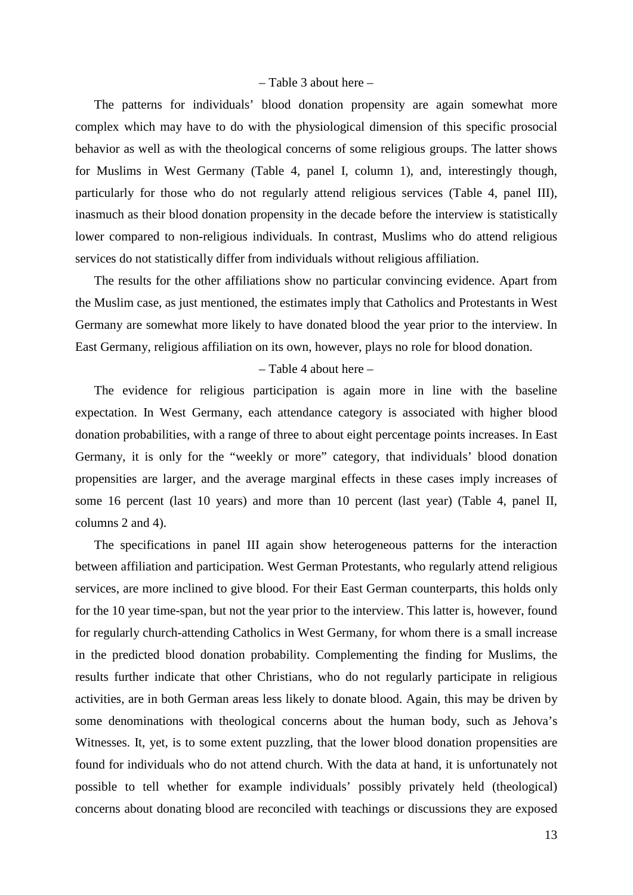#### – Table 3 about here –

The patterns for individuals' blood donation propensity are again somewhat more complex which may have to do with the physiological dimension of this specific prosocial behavior as well as with the theological concerns of some religious groups. The latter shows for Muslims in West Germany (Table 4, panel I, column 1), and, interestingly though, particularly for those who do not regularly attend religious services (Table 4, panel III), inasmuch as their blood donation propensity in the decade before the interview is statistically lower compared to non-religious individuals. In contrast, Muslims who do attend religious services do not statistically differ from individuals without religious affiliation.

The results for the other affiliations show no particular convincing evidence. Apart from the Muslim case, as just mentioned, the estimates imply that Catholics and Protestants in West Germany are somewhat more likely to have donated blood the year prior to the interview. In East Germany, religious affiliation on its own, however, plays no role for blood donation.

#### – Table 4 about here –

The evidence for religious participation is again more in line with the baseline expectation. In West Germany, each attendance category is associated with higher blood donation probabilities, with a range of three to about eight percentage points increases. In East Germany, it is only for the "weekly or more" category, that individuals' blood donation propensities are larger, and the average marginal effects in these cases imply increases of some 16 percent (last 10 years) and more than 10 percent (last year) (Table 4, panel II, columns 2 and 4).

The specifications in panel III again show heterogeneous patterns for the interaction between affiliation and participation. West German Protestants, who regularly attend religious services, are more inclined to give blood. For their East German counterparts, this holds only for the 10 year time-span, but not the year prior to the interview. This latter is, however, found for regularly church-attending Catholics in West Germany, for whom there is a small increase in the predicted blood donation probability. Complementing the finding for Muslims, the results further indicate that other Christians, who do not regularly participate in religious activities, are in both German areas less likely to donate blood. Again, this may be driven by some denominations with theological concerns about the human body, such as Jehova's Witnesses. It, yet, is to some extent puzzling, that the lower blood donation propensities are found for individuals who do not attend church. With the data at hand, it is unfortunately not possible to tell whether for example individuals' possibly privately held (theological) concerns about donating blood are reconciled with teachings or discussions they are exposed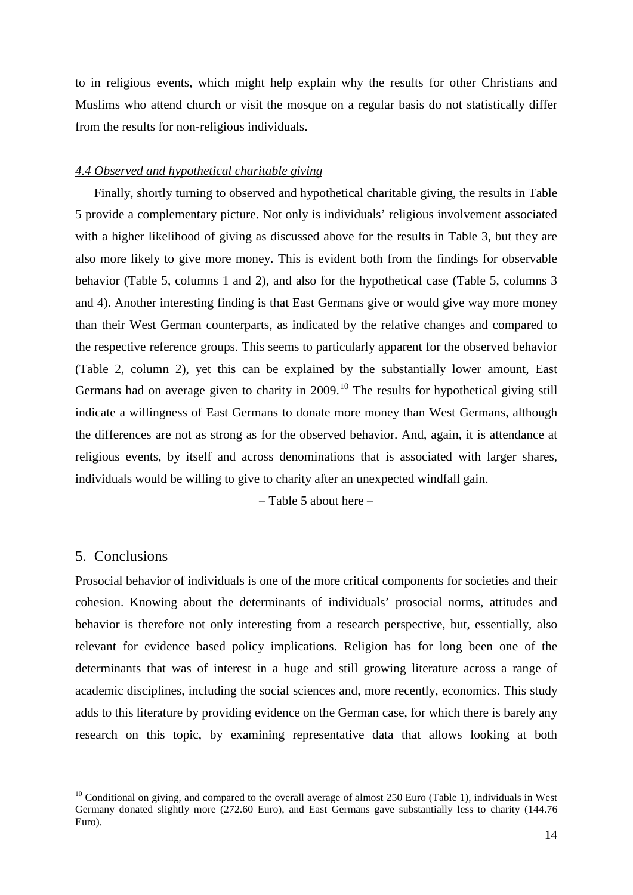to in religious events, which might help explain why the results for other Christians and Muslims who attend church or visit the mosque on a regular basis do not statistically differ from the results for non-religious individuals.

#### *4.4 Observed and hypothetical charitable giving*

Finally, shortly turning to observed and hypothetical charitable giving, the results in Table 5 provide a complementary picture. Not only is individuals' religious involvement associated with a higher likelihood of giving as discussed above for the results in Table 3, but they are also more likely to give more money. This is evident both from the findings for observable behavior (Table 5, columns 1 and 2), and also for the hypothetical case (Table 5, columns 3 and 4). Another interesting finding is that East Germans give or would give way more money than their West German counterparts, as indicated by the relative changes and compared to the respective reference groups. This seems to particularly apparent for the observed behavior (Table 2, column 2), yet this can be explained by the substantially lower amount, East Germans had on average given to charity in 2009.<sup>[10](#page-13-0)</sup> The results for hypothetical giving still indicate a willingness of East Germans to donate more money than West Germans, although the differences are not as strong as for the observed behavior. And, again, it is attendance at religious events, by itself and across denominations that is associated with larger shares, individuals would be willing to give to charity after an unexpected windfall gain.

– Table 5 about here –

# 5. Conclusions

Prosocial behavior of individuals is one of the more critical components for societies and their cohesion. Knowing about the determinants of individuals' prosocial norms, attitudes and behavior is therefore not only interesting from a research perspective, but, essentially, also relevant for evidence based policy implications. Religion has for long been one of the determinants that was of interest in a huge and still growing literature across a range of academic disciplines, including the social sciences and, more recently, economics. This study adds to this literature by providing evidence on the German case, for which there is barely any research on this topic, by examining representative data that allows looking at both

 $10$  Conditional on giving, and compared to the overall average of almost 250 Euro (Table 1), individuals in West Germany donated slightly more (272.60 Euro), and East Germans gave substantially less to charity (144.76 Euro).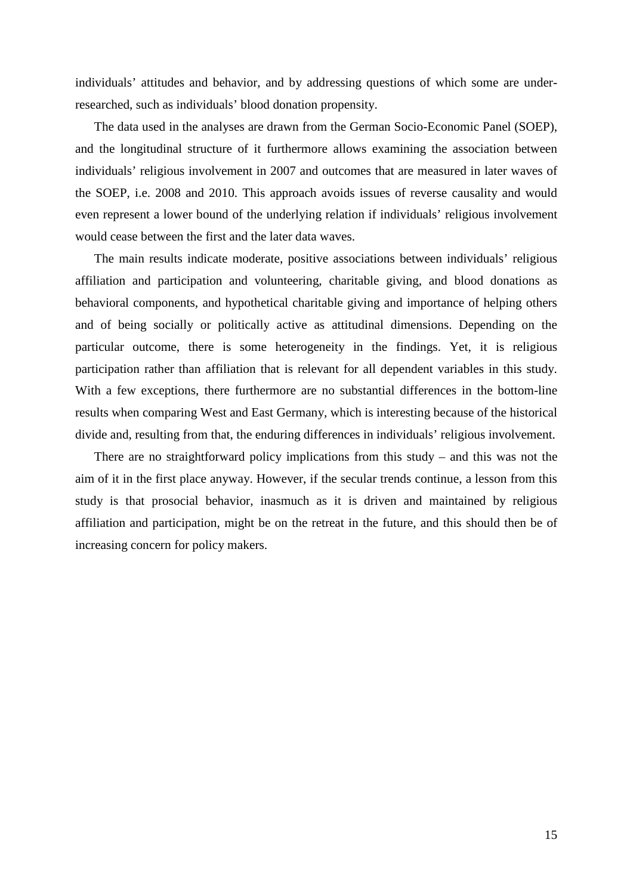individuals' attitudes and behavior, and by addressing questions of which some are underresearched, such as individuals' blood donation propensity.

The data used in the analyses are drawn from the German Socio-Economic Panel (SOEP), and the longitudinal structure of it furthermore allows examining the association between individuals' religious involvement in 2007 and outcomes that are measured in later waves of the SOEP, i.e. 2008 and 2010. This approach avoids issues of reverse causality and would even represent a lower bound of the underlying relation if individuals' religious involvement would cease between the first and the later data waves.

The main results indicate moderate, positive associations between individuals' religious affiliation and participation and volunteering, charitable giving, and blood donations as behavioral components, and hypothetical charitable giving and importance of helping others and of being socially or politically active as attitudinal dimensions. Depending on the particular outcome, there is some heterogeneity in the findings. Yet, it is religious participation rather than affiliation that is relevant for all dependent variables in this study. With a few exceptions, there furthermore are no substantial differences in the bottom-line results when comparing West and East Germany, which is interesting because of the historical divide and, resulting from that, the enduring differences in individuals' religious involvement.

There are no straightforward policy implications from this study – and this was not the aim of it in the first place anyway. However, if the secular trends continue, a lesson from this study is that prosocial behavior, inasmuch as it is driven and maintained by religious affiliation and participation, might be on the retreat in the future, and this should then be of increasing concern for policy makers.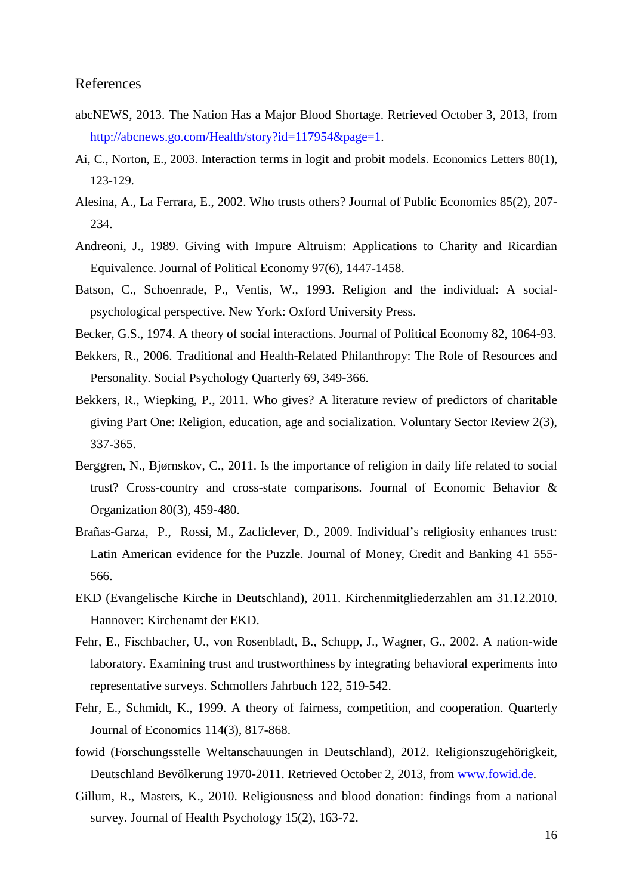## References

- abcNEWS, 2013. The Nation Has a Major Blood Shortage. Retrieved October 3, 2013, from [http://abcnews.go.com/Health/story?id=117954&page=1.](http://abcnews.go.com/Health/story?id=117954&page=1)
- Ai, C., Norton, E., 2003. Interaction terms in logit and probit models. Economics Letters 80(1), 123-129.
- Alesina, A., La Ferrara, E., 2002. Who trusts others? Journal of Public Economics 85(2), 207- 234.
- Andreoni, J., 1989. Giving with Impure Altruism: Applications to Charity and Ricardian Equivalence. Journal of Political Economy 97(6), 1447-1458.
- Batson, C., Schoenrade, P., Ventis, W., 1993. Religion and the individual: A socialpsychological perspective. New York: Oxford University Press.
- Becker, G.S., 1974. A theory of social interactions. Journal of Political Economy 82, 1064-93.
- Bekkers, R., 2006. Traditional and Health-Related Philanthropy: The Role of Resources and Personality. Social Psychology Quarterly 69, 349-366.
- Bekkers, R., Wiepking, P., 2011. Who gives? A literature review of predictors of charitable giving Part One: Religion, education, age and socialization. Voluntary Sector Review 2(3), 337-365.
- Berggren, N., Bjørnskov, C., 2011. Is the importance of religion in daily life related to social trust? Cross-country and cross-state comparisons. Journal of Economic Behavior & Organization 80(3), 459-480.
- Brañas-Garza, P., Rossi, M., Zacliclever, D., 2009. Individual's religiosity enhances trust: Latin American evidence for the Puzzle. Journal of Money, Credit and Banking 41 555- 566.
- EKD (Evangelische Kirche in Deutschland), 2011. Kirchenmitgliederzahlen am 31.12.2010. Hannover: Kirchenamt der EKD.
- Fehr, E., Fischbacher, U., von Rosenbladt, B., Schupp, J., Wagner, G., 2002. A nation-wide laboratory. Examining trust and trustworthiness by integrating behavioral experiments into representative surveys. Schmollers Jahrbuch 122, 519-542.
- Fehr, E., Schmidt, K., 1999. A theory of fairness, competition, and cooperation. Quarterly Journal of Economics 114(3), 817-868.
- fowid (Forschungsstelle Weltanschauungen in Deutschland), 2012. Religionszugehörigkeit, Deutschland Bevölkerung 1970-2011. Retrieved October 2, 2013, from [www.fowid.de.](http://www.fowid.de/)
- Gillum, R., Masters, K., 2010. Religiousness and blood donation: findings from a national survey. Journal of Health Psychology 15(2), 163-72.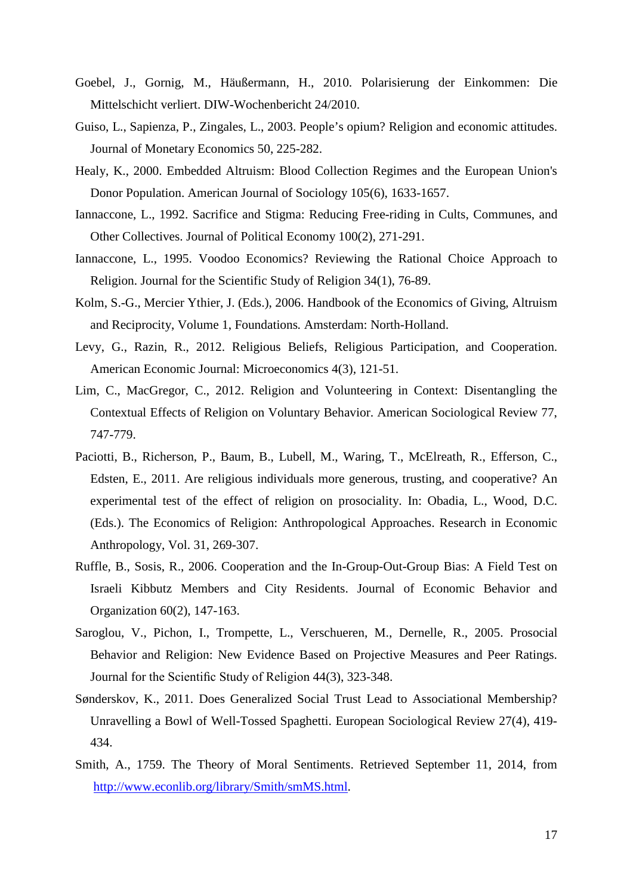- Goebel, J., Gornig, M., Häußermann, H., 2010. Polarisierung der Einkommen: Die Mittelschicht verliert. DIW-Wochenbericht 24/2010.
- Guiso, L., Sapienza, P., Zingales, L., 2003. People's opium? Religion and economic attitudes. Journal of Monetary Economics 50, 225-282.
- Healy, K., 2000. Embedded Altruism: Blood Collection Regimes and the European Union's Donor Population. American Journal of Sociology 105(6), 1633-1657.
- Iannaccone, L., 1992. Sacrifice and Stigma: Reducing Free-riding in Cults, Communes, and Other Collectives. Journal of Political Economy 100(2), 271-291.
- Iannaccone, L., 1995. Voodoo Economics? Reviewing the Rational Choice Approach to Religion. Journal for the Scientific Study of Religion 34(1), 76-89.
- Kolm, S.-G., Mercier Ythier, J. (Eds.), 2006. Handbook of the Economics of Giving, Altruism and Reciprocity, Volume 1, Foundations*.* Amsterdam: North-Holland.
- Levy, G., Razin, R., 2012. Religious Beliefs, Religious Participation, and Cooperation. American Economic Journal: Microeconomics 4(3), 121-51.
- Lim, C., MacGregor, C., 2012. Religion and Volunteering in Context: Disentangling the Contextual Effects of Religion on Voluntary Behavior. American Sociological Review 77, 747-779.
- Paciotti, B., Richerson, P., Baum, B., Lubell, M., Waring, T., McElreath, R., Efferson, C., Edsten, E., 2011. Are religious individuals more generous, trusting, and cooperative? An experimental test of the effect of religion on prosociality. In: Obadia, L., Wood, D.C. (Eds.). The Economics of Religion: Anthropological Approaches. Research in Economic Anthropology, Vol. 31, 269-307.
- Ruffle, B., Sosis, R., 2006. Cooperation and the In-Group-Out-Group Bias: A Field Test on Israeli Kibbutz Members and City Residents. Journal of Economic Behavior and Organization 60(2), 147-163.
- Saroglou, V., Pichon, I., Trompette, L., Verschueren, M., Dernelle, R., 2005. Prosocial Behavior and Religion: New Evidence Based on Projective Measures and Peer Ratings. Journal for the Scientific Study of Religion 44(3), 323-348.
- Sønderskov, K., 2011. Does Generalized Social Trust Lead to Associational Membership? Unravelling a Bowl of Well-Tossed Spaghetti. European Sociological Review 27(4), 419- 434.
- Smith, A., 1759. The Theory of Moral Sentiments. Retrieved September 11, 2014, from [http://www.econlib.org/library/Smith/smMS.html.](http://www.econlib.org/library/Smith/smMS.html)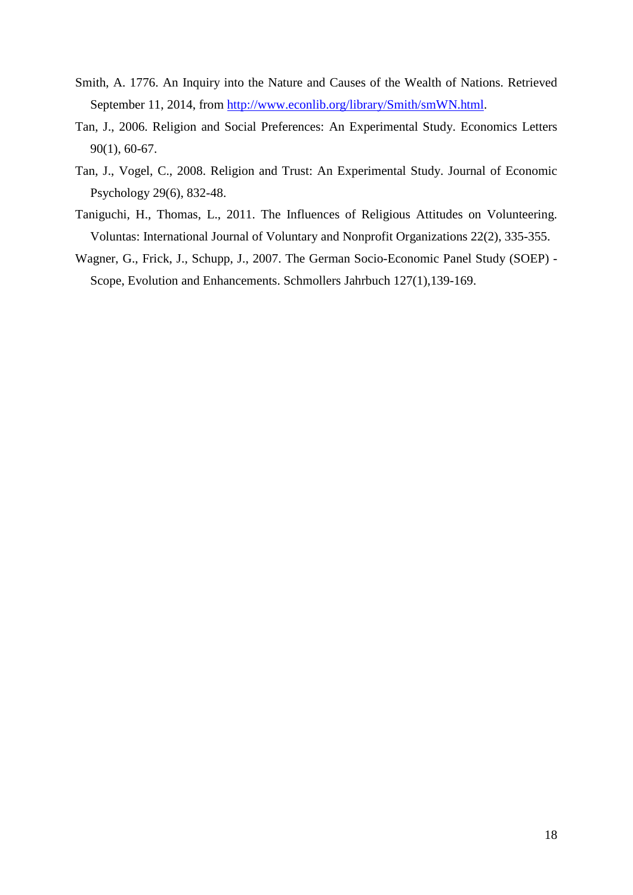- Smith, A. 1776. An Inquiry into the Nature and Causes of the Wealth of Nations. Retrieved September 11, 2014, from [http://www.econlib.org/library/Smith/smWN.html.](http://www.econlib.org/library/Smith/smWN.html)
- Tan, J., 2006. Religion and Social Preferences: An Experimental Study. Economics Letters 90(1), 60-67.
- Tan, J., Vogel, C., 2008. Religion and Trust: An Experimental Study. Journal of Economic Psychology 29(6), 832-48.
- Taniguchi, H., Thomas, L., 2011. The Influences of Religious Attitudes on Volunteering. Voluntas: International Journal of Voluntary and Nonprofit Organizations 22(2), 335-355.
- Wagner, G., Frick, J., Schupp, J., 2007. The German Socio-Economic Panel Study (SOEP) Scope, Evolution and Enhancements. Schmollers Jahrbuch 127(1),139-169.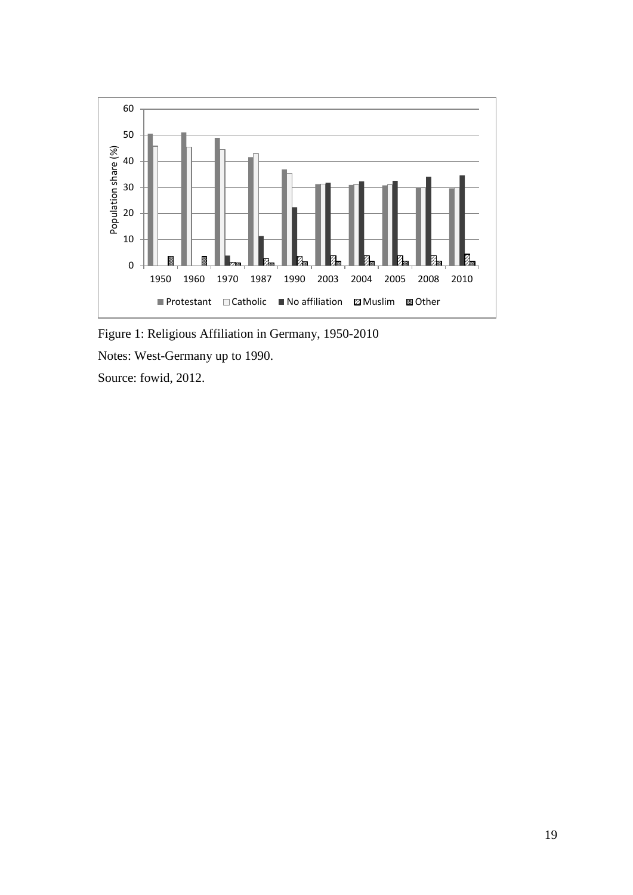

Figure 1: Religious Affiliation in Germany, 1950-2010 Notes: West-Germany up to 1990. Source: fowid, 2012.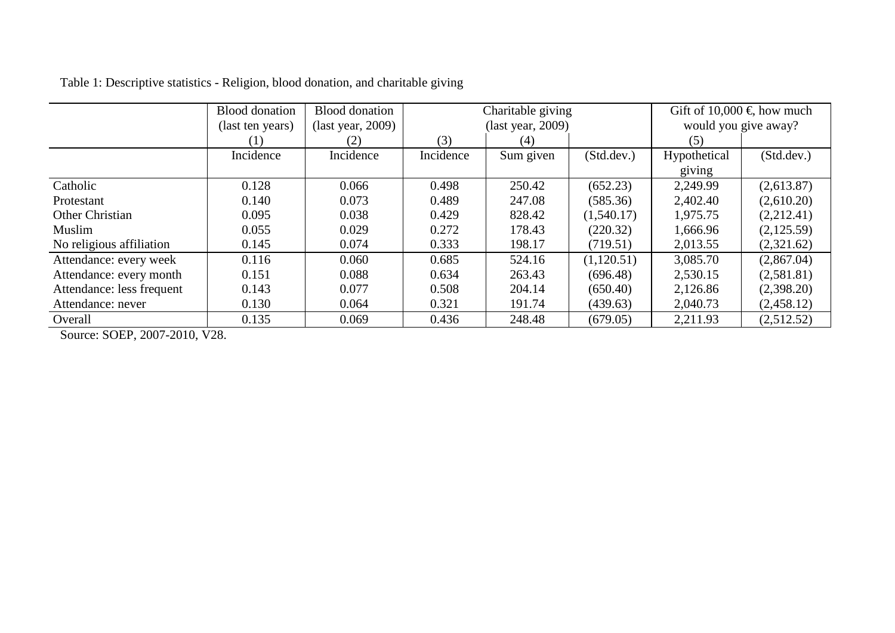|                           | <b>Blood</b> donation | <b>Blood</b> donation   | Charitable giving  |           |                      | Gift of $10,000 \in \text{how much}$ |            |
|---------------------------|-----------------------|-------------------------|--------------------|-----------|----------------------|--------------------------------------|------------|
|                           | (last ten years)      | $\mu$ (last year, 2009) | $last year, 2009)$ |           | would you give away? |                                      |            |
|                           |                       | (2)                     | (3)                | (4)       |                      | (5)                                  |            |
|                           | Incidence             | Incidence               | Incidence          | Sum given | (Std.dev.)           | Hypothetical                         | (Std.dev.) |
|                           |                       |                         |                    |           |                      | giving                               |            |
| Catholic                  | 0.128                 | 0.066                   | 0.498              | 250.42    | (652.23)             | 2,249.99                             | (2,613.87) |
| Protestant                | 0.140                 | 0.073                   | 0.489              | 247.08    | (585.36)             | 2,402.40                             | (2,610.20) |
| <b>Other Christian</b>    | 0.095                 | 0.038                   | 0.429              | 828.42    | (1,540.17)           | 1,975.75                             | (2,212.41) |
| Muslim                    | 0.055                 | 0.029                   | 0.272              | 178.43    | (220.32)             | 1,666.96                             | (2,125.59) |
| No religious affiliation  | 0.145                 | 0.074                   | 0.333              | 198.17    | (719.51)             | 2,013.55                             | (2,321.62) |
| Attendance: every week    | 0.116                 | 0.060                   | 0.685              | 524.16    | (1,120.51)           | 3,085.70                             | (2,867.04) |
| Attendance: every month   | 0.151                 | 0.088                   | 0.634              | 263.43    | (696.48)             | 2,530.15                             | (2,581.81) |
| Attendance: less frequent | 0.143                 | 0.077                   | 0.508              | 204.14    | (650.40)             | 2,126.86                             | (2,398.20) |
| Attendance: never         | 0.130                 | 0.064                   | 0.321              | 191.74    | (439.63)             | 2,040.73                             | (2,458.12) |
| Overall                   | 0.135                 | 0.069                   | 0.436              | 248.48    | (679.05)             | 2,211.93                             | (2,512.52) |

Table 1: Descriptive statistics - Religion, blood donation, and charitable giving

Source: SOEP, 2007-2010, V28.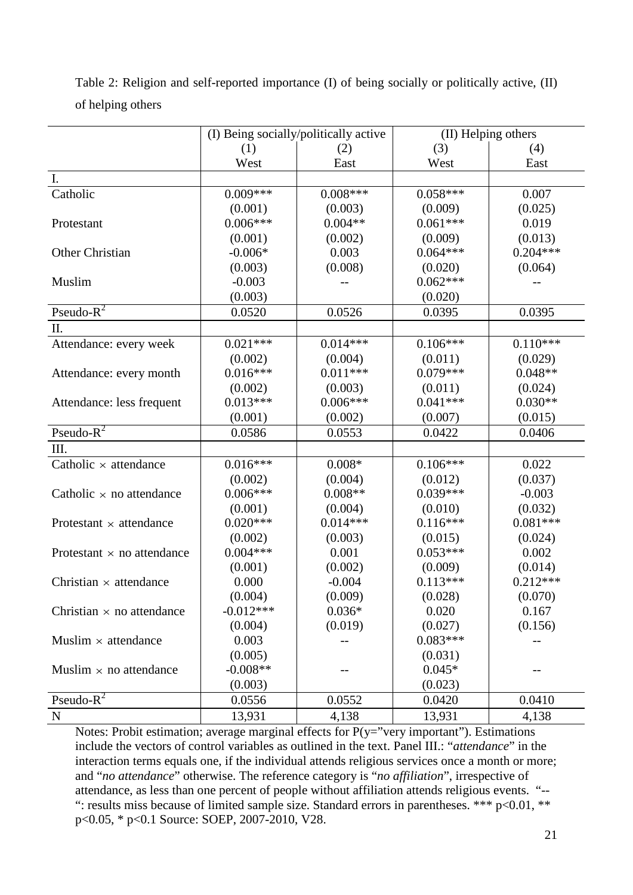| Table 2: Religion and self-reported importance (I) of being socially or politically active, (II) |  |  |  |  |
|--------------------------------------------------------------------------------------------------|--|--|--|--|
| of helping others                                                                                |  |  |  |  |

|                                   | (I) Being socially/politically active |            | (II) Helping others |            |  |
|-----------------------------------|---------------------------------------|------------|---------------------|------------|--|
|                                   | (1)                                   | (2)        | (3)                 | (4)        |  |
|                                   | West                                  | East       | West                | East       |  |
| I.                                |                                       |            |                     |            |  |
| Catholic                          | $0.009***$                            | $0.008***$ | $0.058***$          | 0.007      |  |
|                                   | (0.001)                               | (0.003)    | (0.009)             | (0.025)    |  |
| Protestant                        | $0.006***$                            | $0.004**$  | $0.061***$          | 0.019      |  |
|                                   | (0.001)                               | (0.002)    | (0.009)             | (0.013)    |  |
| Other Christian                   | $-0.006*$                             | 0.003      | $0.064***$          | $0.204***$ |  |
|                                   | (0.003)                               | (0.008)    | (0.020)             | (0.064)    |  |
| Muslim                            | $-0.003$                              |            | $0.062***$          |            |  |
|                                   | (0.003)                               |            | (0.020)             |            |  |
| Pseudo- $R^2$                     | 0.0520                                | 0.0526     | 0.0395              | 0.0395     |  |
| Π.                                |                                       |            |                     |            |  |
| Attendance: every week            | $0.021***$                            | $0.014***$ | $0.106***$          | $0.110***$ |  |
|                                   | (0.002)                               | (0.004)    | (0.011)             | (0.029)    |  |
| Attendance: every month           | $0.016***$                            | $0.011***$ | $0.079***$          | $0.048**$  |  |
|                                   | (0.002)                               | (0.003)    | (0.011)             | (0.024)    |  |
| Attendance: less frequent         | $0.013***$                            | $0.006***$ | $0.041***$          | $0.030**$  |  |
|                                   | (0.001)                               | (0.002)    | (0.007)             | (0.015)    |  |
| Pseudo- $R^2$                     | 0.0586                                | 0.0553     | 0.0422              | 0.0406     |  |
| III.                              |                                       |            |                     |            |  |
| Catholic $\times$ attendance      | $0.016***$                            | $0.008*$   | $0.106***$          | 0.022      |  |
|                                   | (0.002)                               | (0.004)    | (0.012)             | (0.037)    |  |
| Catholic $\times$ no attendance   | $0.006***$                            | $0.008**$  | $0.039***$          | $-0.003$   |  |
|                                   | (0.001)                               | (0.004)    | (0.010)             | (0.032)    |  |
| Protestant $\times$ attendance    | $0.020***$                            | $0.014***$ | $0.116***$          | $0.081***$ |  |
|                                   | (0.002)                               | (0.003)    | (0.015)             | (0.024)    |  |
| Protestant $\times$ no attendance | $0.004***$                            | 0.001      | $0.053***$          | 0.002      |  |
|                                   | (0.001)                               | (0.002)    | (0.009)             | (0.014)    |  |
| Christian $\times$ attendance     | 0.000                                 | $-0.004$   | $0.113***$          | $0.212***$ |  |
|                                   | (0.004)                               | (0.009)    | (0.028)             | (0.070)    |  |
| Christian $\times$ no attendance  | $-0.012***$                           | $0.036*$   | 0.020               | 0.167      |  |
|                                   | (0.004)                               | (0.019)    | (0.027)             | (0.156)    |  |
| Muslim $\times$ attendance        | 0.003                                 |            | $0.083***$          |            |  |
|                                   | (0.005)                               |            | (0.031)             |            |  |
| Muslim $\times$ no attendance     | $-0.008**$                            | --         | $0.045*$            |            |  |
|                                   | (0.003)                               |            | (0.023)             |            |  |
| Pseudo- $\overline{R^2}$          | 0.0556                                | 0.0552     | 0.0420              | 0.0410     |  |
| $\mathbf N$                       | 13,931                                | 4,138      | 13,931              | 4,138      |  |

Notes: Probit estimation; average marginal effects for  $P(y=$ "very important"). Estimations include the vectors of control variables as outlined in the text. Panel III.: "*attendance*" in the interaction terms equals one, if the individual attends religious services once a month or more; and "*no attendance*" otherwise. The reference category is "*no affiliation*", irrespective of attendance, as less than one percent of people without affiliation attends religious events. "*--* ": results miss because of limited sample size. Standard errors in parentheses. \*\*\* p<0.01, \*\* p<0.05, \* p<0.1 Source: SOEP, 2007-2010, V28.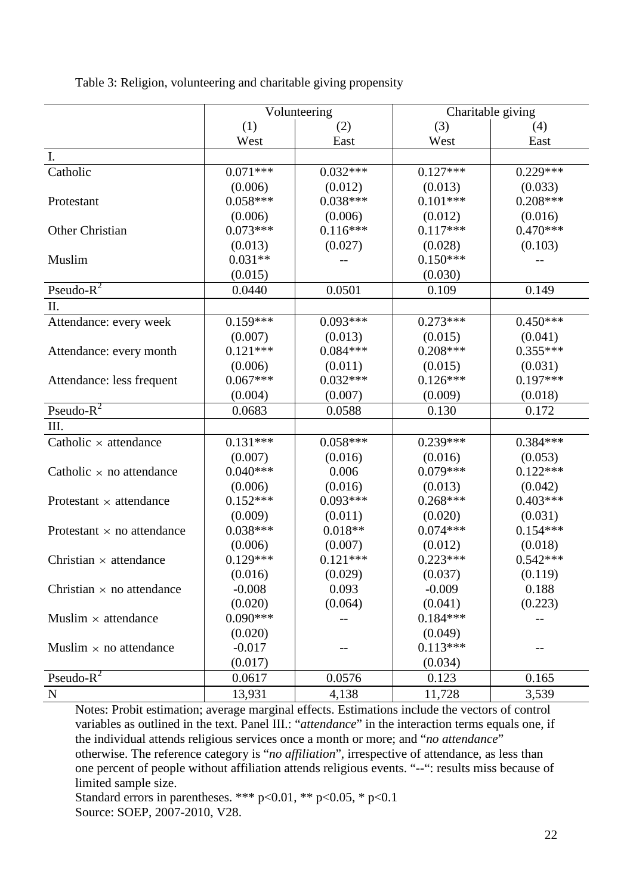Table 3: Religion, volunteering and charitable giving propensity

|                                   | Volunteering |            | Charitable giving |            |  |
|-----------------------------------|--------------|------------|-------------------|------------|--|
|                                   | (1)          | (2)        | (3)               | (4)        |  |
|                                   | West         | East       | West              | East       |  |
| I.                                |              |            |                   |            |  |
| Catholic                          | $0.071***$   | $0.032***$ | $0.127***$        | $0.229***$ |  |
|                                   | (0.006)      | (0.012)    | (0.013)           | (0.033)    |  |
| Protestant                        | $0.058***$   | $0.038***$ | $0.101***$        | $0.208***$ |  |
|                                   | (0.006)      | (0.006)    | (0.012)           | (0.016)    |  |
| <b>Other Christian</b>            | $0.073***$   | $0.116***$ | $0.117***$        | $0.470***$ |  |
|                                   | (0.013)      | (0.027)    | (0.028)           | (0.103)    |  |
| Muslim                            | $0.031**$    |            | $0.150***$        |            |  |
|                                   | (0.015)      |            | (0.030)           |            |  |
| Pseudo- $\overline{R^2}$          | 0.0440       | 0.0501     | 0.109             | 0.149      |  |
| II.                               |              |            |                   |            |  |
| Attendance: every week            | $0.159***$   | $0.093***$ | $0.273***$        | $0.450***$ |  |
|                                   | (0.007)      | (0.013)    | (0.015)           | (0.041)    |  |
| Attendance: every month           | $0.121***$   | $0.084***$ | $0.208***$        | $0.355***$ |  |
|                                   | (0.006)      | (0.011)    | (0.015)           | (0.031)    |  |
| Attendance: less frequent         | $0.067***$   | $0.032***$ | $0.126***$        | $0.197***$ |  |
|                                   | (0.004)      | (0.007)    | (0.009)           | (0.018)    |  |
| Pseudo- $R^2$                     | 0.0683       | 0.0588     | 0.130             | 0.172      |  |
| III.                              |              |            |                   |            |  |
| Catholic $\times$ attendance      | $0.131***$   | $0.058***$ | $0.239***$        | $0.384***$ |  |
|                                   | (0.007)      | (0.016)    | (0.016)           | (0.053)    |  |
| Catholic $\times$ no attendance   | $0.040***$   | 0.006      | $0.079***$        | $0.122***$ |  |
|                                   | (0.006)      | (0.016)    | (0.013)           | (0.042)    |  |
| Protestant $\times$ attendance    | $0.152***$   | $0.093***$ | $0.268***$        | $0.403***$ |  |
|                                   | (0.009)      | (0.011)    | (0.020)           | (0.031)    |  |
| Protestant $\times$ no attendance | $0.038***$   | $0.018**$  | $0.074***$        | $0.154***$ |  |
|                                   | (0.006)      | (0.007)    | (0.012)           | (0.018)    |  |
| Christian $\times$ attendance     | $0.129***$   | $0.121***$ | $0.223***$        | $0.542***$ |  |
|                                   | (0.016)      | (0.029)    | (0.037)           | (0.119)    |  |
| Christian $\times$ no attendance  | $-0.008$     | 0.093      | $-0.009$          | 0.188      |  |
|                                   | (0.020)      | (0.064)    | (0.041)           | (0.223)    |  |
| Muslim $\times$ attendance        | $0.090***$   |            | $0.184***$        |            |  |
|                                   | (0.020)      |            | (0.049)           |            |  |
| Muslim $\times$ no attendance     | $-0.017$     |            | $0.113***$        |            |  |
|                                   | (0.017)      |            | (0.034)           |            |  |
| Pseudo- $\overline{R^2}$          | 0.0617       | 0.0576     | 0.123             | 0.165      |  |
| ${\bf N}$                         | 13,931       | 4,138      | 11,728            | 3,539      |  |

Notes: Probit estimation; average marginal effects. Estimations include the vectors of control variables as outlined in the text. Panel III.: "*attendance*" in the interaction terms equals one, if the individual attends religious services once a month or more; and "*no attendance*" otherwise. The reference category is "*no affiliation*", irrespective of attendance, as less than one percent of people without affiliation attends religious events. "*--*": results miss because of limited sample size.

Standard errors in parentheses. \*\*\*  $p<0.01$ , \*\*  $p<0.05$ , \*  $p<0.1$ Source: SOEP, 2007-2010, V28.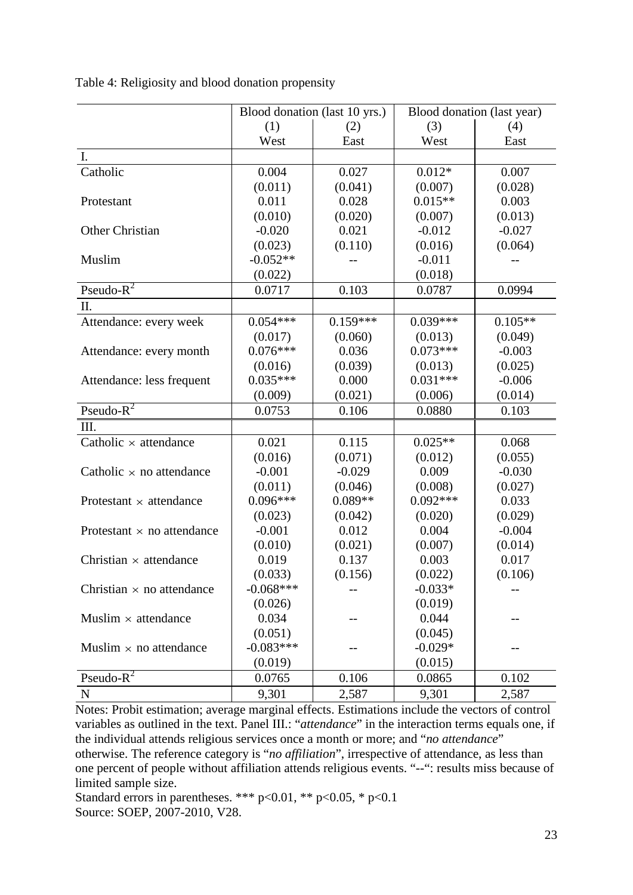|                                   | Blood donation (last 10 yrs.) |            | Blood donation (last year) |           |  |
|-----------------------------------|-------------------------------|------------|----------------------------|-----------|--|
|                                   | (1)                           | (2)        | (3)                        | (4)       |  |
|                                   | West                          | East       | West                       | East      |  |
| I.                                |                               |            |                            |           |  |
| Catholic                          | 0.004                         | 0.027      | $0.012*$                   | 0.007     |  |
|                                   | (0.011)                       | (0.041)    | (0.007)                    | (0.028)   |  |
| Protestant                        | 0.011                         | 0.028      | $0.015**$                  | 0.003     |  |
|                                   | (0.010)                       | (0.020)    | (0.007)                    | (0.013)   |  |
| Other Christian                   | $-0.020$                      | 0.021      | $-0.012$                   | $-0.027$  |  |
|                                   | (0.023)                       | (0.110)    | (0.016)                    | (0.064)   |  |
| Muslim                            | $-0.052**$                    |            | $-0.011$                   |           |  |
|                                   | (0.022)                       |            | (0.018)                    |           |  |
| Pseudo- $R^2$                     | 0.0717                        | 0.103      | 0.0787                     | 0.0994    |  |
| П.                                |                               |            |                            |           |  |
| Attendance: every week            | $0.054***$                    | $0.159***$ | $0.039***$                 | $0.105**$ |  |
|                                   | (0.017)                       | (0.060)    | (0.013)                    | (0.049)   |  |
| Attendance: every month           | $0.076***$                    | 0.036      | $0.073***$                 | $-0.003$  |  |
|                                   | (0.016)                       | (0.039)    | (0.013)                    | (0.025)   |  |
| Attendance: less frequent         | $0.035***$                    | 0.000      | $0.031***$                 | $-0.006$  |  |
|                                   | (0.009)                       | (0.021)    | (0.006)                    | (0.014)   |  |
| $Pseudo-R^2$                      | 0.0753                        | 0.106      | 0.0880                     | 0.103     |  |
| III.                              |                               |            |                            |           |  |
| Catholic $\times$ attendance      | 0.021                         | 0.115      | $0.025**$                  | 0.068     |  |
|                                   | (0.016)                       | (0.071)    | (0.012)                    | (0.055)   |  |
| Catholic $\times$ no attendance   | $-0.001$                      | $-0.029$   | 0.009                      | $-0.030$  |  |
|                                   | (0.011)                       | (0.046)    | (0.008)                    | (0.027)   |  |
| Protestant $\times$ attendance    | $0.096***$                    | $0.089**$  | $0.092***$                 | 0.033     |  |
|                                   | (0.023)                       | (0.042)    | (0.020)                    | (0.029)   |  |
| Protestant $\times$ no attendance | $-0.001$                      | 0.012      | 0.004                      | $-0.004$  |  |
|                                   | (0.010)                       | (0.021)    | (0.007)                    | (0.014)   |  |
| Christian $\times$ attendance     | 0.019                         | 0.137      | 0.003                      | 0.017     |  |
|                                   | (0.033)                       | (0.156)    | (0.022)                    | (0.106)   |  |
| Christian $\times$ no attendance  | $-0.068***$                   |            | $-0.033*$                  |           |  |
|                                   | (0.026)                       |            | (0.019)                    |           |  |
| Muslim $\times$ attendance        | 0.034                         |            | 0.044                      |           |  |
|                                   | (0.051)                       |            | (0.045)                    |           |  |
| Muslim $\times$ no attendance     | $-0.083***$                   |            | $-0.029*$                  |           |  |
|                                   | (0.019)                       |            | (0.015)                    |           |  |
| Pseudo- $R^2$                     | 0.0765                        | 0.106      | 0.0865                     | 0.102     |  |
| $\mathbf N$                       | 9,301                         | 2,587      | 9,301                      | 2,587     |  |

Notes: Probit estimation; average marginal effects. Estimations include the vectors of control variables as outlined in the text. Panel III.: "*attendance*" in the interaction terms equals one, if the individual attends religious services once a month or more; and "*no attendance*"

otherwise. The reference category is "*no affiliation*", irrespective of attendance, as less than one percent of people without affiliation attends religious events. "*--*": results miss because of limited sample size.

Standard errors in parentheses. \*\*\*  $p<0.01$ , \*\*  $p<0.05$ , \*  $p<0.1$ Source: SOEP, 2007-2010, V28.